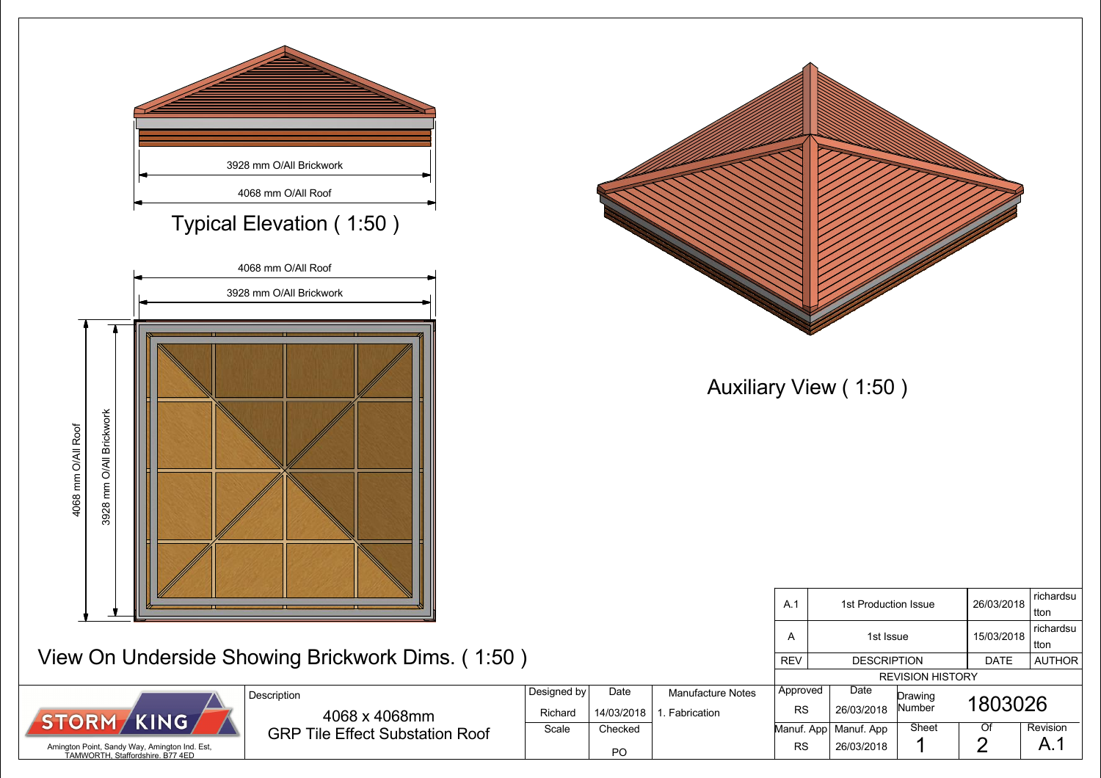